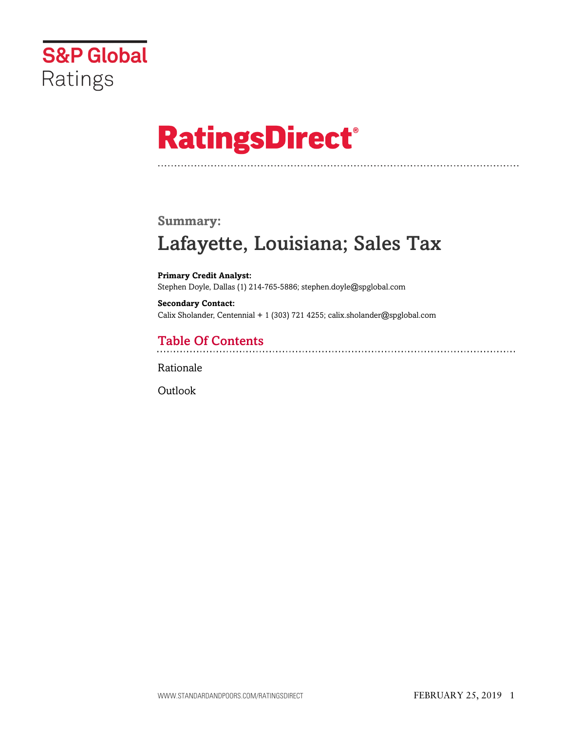

# **RatingsDirect®**

### **Summary:**

# Lafayette, Louisiana; Sales Tax

**Primary Credit Analyst:** Stephen Doyle, Dallas (1) 214-765-5886; stephen.doyle@spglobal.com

**Secondary Contact:** Calix Sholander, Centennial + 1 (303) 721 4255; calix.sholander@spglobal.com

# Table Of Contents

[Rationale](#page-1-0)

[Outlook](#page-3-0)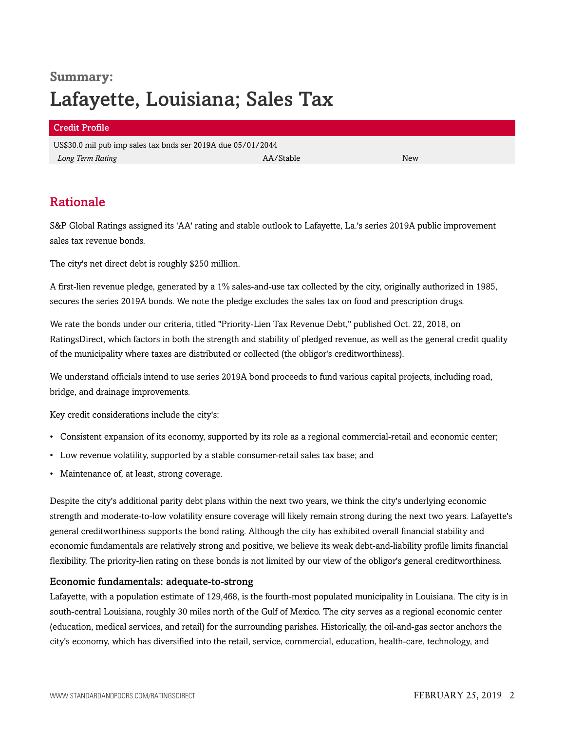# **Summary:** Lafayette, Louisiana; Sales Tax

#### Credit Profile

US\$30.0 mil pub imp sales tax bnds ser 2019A due 05/01/2044 *Long Term Rating* New New AA/Stable AA/Stable New New A

## <span id="page-1-0"></span>Rationale

S&P Global Ratings assigned its 'AA' rating and stable outlook to Lafayette, La.'s series 2019A public improvement sales tax revenue bonds.

The city's net direct debt is roughly \$250 million.

A first-lien revenue pledge, generated by a 1% sales-and-use tax collected by the city, originally authorized in 1985, secures the series 2019A bonds. We note the pledge excludes the sales tax on food and prescription drugs.

We rate the bonds under our criteria, titled "Priority-Lien Tax Revenue Debt," published Oct. 22, 2018, on RatingsDirect, which factors in both the strength and stability of pledged revenue, as well as the general credit quality of the municipality where taxes are distributed or collected (the obligor's creditworthiness).

We understand officials intend to use series 2019A bond proceeds to fund various capital projects, including road, bridge, and drainage improvements.

Key credit considerations include the city's:

- Consistent expansion of its economy, supported by its role as a regional commercial-retail and economic center;
- Low revenue volatility, supported by a stable consumer-retail sales tax base; and
- Maintenance of, at least, strong coverage.

Despite the city's additional parity debt plans within the next two years, we think the city's underlying economic strength and moderate-to-low volatility ensure coverage will likely remain strong during the next two years. Lafayette's general creditworthiness supports the bond rating. Although the city has exhibited overall financial stability and economic fundamentals are relatively strong and positive, we believe its weak debt-and-liability profile limits financial flexibility. The priority-lien rating on these bonds is not limited by our view of the obligor's general creditworthiness.

#### Economic fundamentals: adequate-to-strong

Lafayette, with a population estimate of 129,468, is the fourth-most populated municipality in Louisiana. The city is in south-central Louisiana, roughly 30 miles north of the Gulf of Mexico. The city serves as a regional economic center (education, medical services, and retail) for the surrounding parishes. Historically, the oil-and-gas sector anchors the city's economy, which has diversified into the retail, service, commercial, education, health-care, technology, and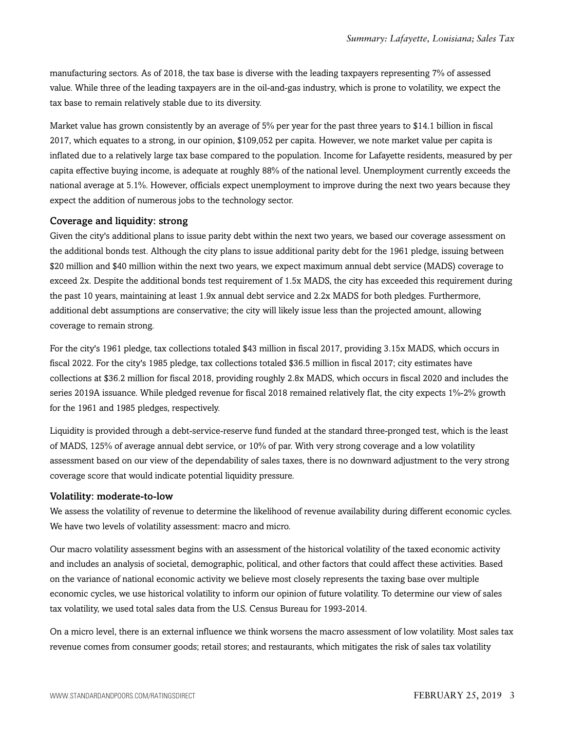manufacturing sectors. As of 2018, the tax base is diverse with the leading taxpayers representing 7% of assessed value. While three of the leading taxpayers are in the oil-and-gas industry, which is prone to volatility, we expect the tax base to remain relatively stable due to its diversity.

Market value has grown consistently by an average of 5% per year for the past three years to \$14.1 billion in fiscal 2017, which equates to a strong, in our opinion, \$109,052 per capita. However, we note market value per capita is inflated due to a relatively large tax base compared to the population. Income for Lafayette residents, measured by per capita effective buying income, is adequate at roughly 88% of the national level. Unemployment currently exceeds the national average at 5.1%. However, officials expect unemployment to improve during the next two years because they expect the addition of numerous jobs to the technology sector.

#### Coverage and liquidity: strong

Given the city's additional plans to issue parity debt within the next two years, we based our coverage assessment on the additional bonds test. Although the city plans to issue additional parity debt for the 1961 pledge, issuing between \$20 million and \$40 million within the next two years, we expect maximum annual debt service (MADS) coverage to exceed 2x. Despite the additional bonds test requirement of 1.5x MADS, the city has exceeded this requirement during the past 10 years, maintaining at least 1.9x annual debt service and 2.2x MADS for both pledges. Furthermore, additional debt assumptions are conservative; the city will likely issue less than the projected amount, allowing coverage to remain strong.

For the city's 1961 pledge, tax collections totaled \$43 million in fiscal 2017, providing 3.15x MADS, which occurs in fiscal 2022. For the city's 1985 pledge, tax collections totaled \$36.5 million in fiscal 2017; city estimates have collections at \$36.2 million for fiscal 2018, providing roughly 2.8x MADS, which occurs in fiscal 2020 and includes the series 2019A issuance. While pledged revenue for fiscal 2018 remained relatively flat, the city expects 1%-2% growth for the 1961 and 1985 pledges, respectively.

Liquidity is provided through a debt-service-reserve fund funded at the standard three-pronged test, which is the least of MADS, 125% of average annual debt service, or 10% of par. With very strong coverage and a low volatility assessment based on our view of the dependability of sales taxes, there is no downward adjustment to the very strong coverage score that would indicate potential liquidity pressure.

#### Volatility: moderate-to-low

We assess the volatility of revenue to determine the likelihood of revenue availability during different economic cycles. We have two levels of volatility assessment: macro and micro.

Our macro volatility assessment begins with an assessment of the historical volatility of the taxed economic activity and includes an analysis of societal, demographic, political, and other factors that could affect these activities. Based on the variance of national economic activity we believe most closely represents the taxing base over multiple economic cycles, we use historical volatility to inform our opinion of future volatility. To determine our view of sales tax volatility, we used total sales data from the U.S. Census Bureau for 1993-2014.

On a micro level, there is an external influence we think worsens the macro assessment of low volatility. Most sales tax revenue comes from consumer goods; retail stores; and restaurants, which mitigates the risk of sales tax volatility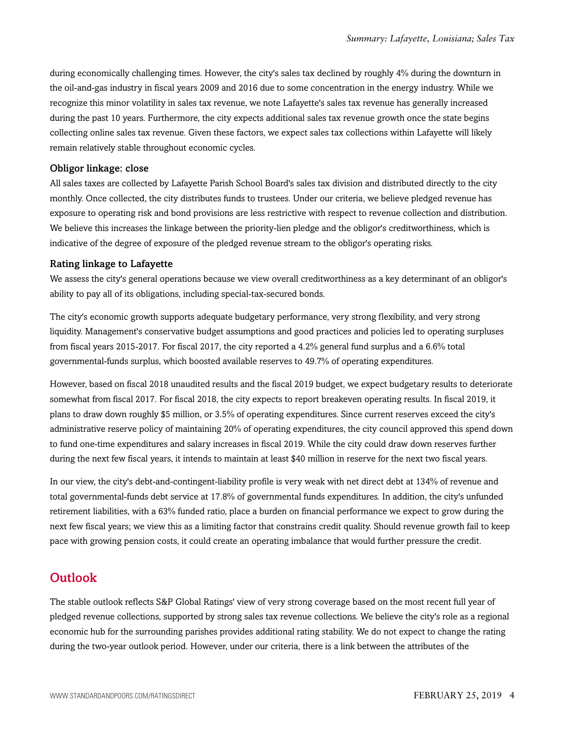during economically challenging times. However, the city's sales tax declined by roughly 4% during the downturn in the oil-and-gas industry in fiscal years 2009 and 2016 due to some concentration in the energy industry. While we recognize this minor volatility in sales tax revenue, we note Lafayette's sales tax revenue has generally increased during the past 10 years. Furthermore, the city expects additional sales tax revenue growth once the state begins collecting online sales tax revenue. Given these factors, we expect sales tax collections within Lafayette will likely remain relatively stable throughout economic cycles.

#### Obligor linkage: close

All sales taxes are collected by Lafayette Parish School Board's sales tax division and distributed directly to the city monthly. Once collected, the city distributes funds to trustees. Under our criteria, we believe pledged revenue has exposure to operating risk and bond provisions are less restrictive with respect to revenue collection and distribution. We believe this increases the linkage between the priority-lien pledge and the obligor's creditworthiness, which is indicative of the degree of exposure of the pledged revenue stream to the obligor's operating risks.

#### Rating linkage to Lafayette

We assess the city's general operations because we view overall creditworthiness as a key determinant of an obligor's ability to pay all of its obligations, including special-tax-secured bonds.

The city's economic growth supports adequate budgetary performance, very strong flexibility, and very strong liquidity. Management's conservative budget assumptions and good practices and policies led to operating surpluses from fiscal years 2015-2017. For fiscal 2017, the city reported a 4.2% general fund surplus and a 6.6% total governmental-funds surplus, which boosted available reserves to 49.7% of operating expenditures.

However, based on fiscal 2018 unaudited results and the fiscal 2019 budget, we expect budgetary results to deteriorate somewhat from fiscal 2017. For fiscal 2018, the city expects to report breakeven operating results. In fiscal 2019, it plans to draw down roughly \$5 million, or 3.5% of operating expenditures. Since current reserves exceed the city's administrative reserve policy of maintaining 20% of operating expenditures, the city council approved this spend down to fund one-time expenditures and salary increases in fiscal 2019. While the city could draw down reserves further during the next few fiscal years, it intends to maintain at least \$40 million in reserve for the next two fiscal years.

In our view, the city's debt-and-contingent-liability profile is very weak with net direct debt at 134% of revenue and total governmental-funds debt service at 17.8% of governmental funds expenditures. In addition, the city's unfunded retirement liabilities, with a 63% funded ratio, place a burden on financial performance we expect to grow during the next few fiscal years; we view this as a limiting factor that constrains credit quality. Should revenue growth fail to keep pace with growing pension costs, it could create an operating imbalance that would further pressure the credit.

### <span id="page-3-0"></span>**Outlook**

The stable outlook reflects S&P Global Ratings' view of very strong coverage based on the most recent full year of pledged revenue collections, supported by strong sales tax revenue collections. We believe the city's role as a regional economic hub for the surrounding parishes provides additional rating stability. We do not expect to change the rating during the two-year outlook period. However, under our criteria, there is a link between the attributes of the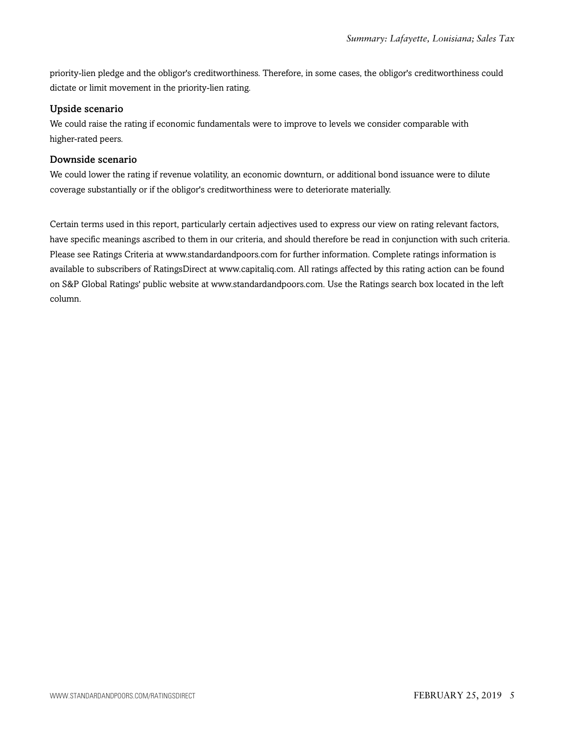priority-lien pledge and the obligor's creditworthiness. Therefore, in some cases, the obligor's creditworthiness could dictate or limit movement in the priority-lien rating.

#### Upside scenario

We could raise the rating if economic fundamentals were to improve to levels we consider comparable with higher-rated peers.

#### Downside scenario

We could lower the rating if revenue volatility, an economic downturn, or additional bond issuance were to dilute coverage substantially or if the obligor's creditworthiness were to deteriorate materially.

Certain terms used in this report, particularly certain adjectives used to express our view on rating relevant factors, have specific meanings ascribed to them in our criteria, and should therefore be read in conjunction with such criteria. Please see Ratings Criteria at www.standardandpoors.com for further information. Complete ratings information is available to subscribers of RatingsDirect at www.capitaliq.com. All ratings affected by this rating action can be found on S&P Global Ratings' public website at www.standardandpoors.com. Use the Ratings search box located in the left column.